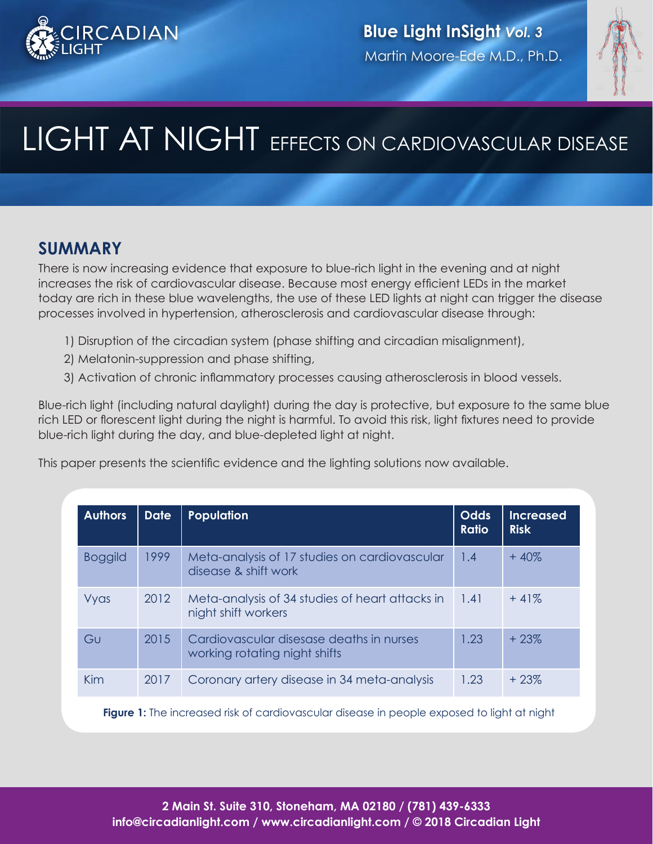



# LIGHT AT NIGHT EFFECTS ON CARDIOVASCULAR DISEASE

### **SUMMARY**

There is now increasing evidence that exposure to blue-rich light in the evening and at night increases the risk of cardiovascular disease. Because most energy efficient LEDs in the market today are rich in these blue wavelengths, the use of these LED lights at night can trigger the disease processes involved in hypertension, atherosclerosis and cardiovascular disease through:

- 1) Disruption of the circadian system (phase shifting and circadian misalignment),
- 2) Melatonin-suppression and phase shifting,
- 3) Activation of chronic inflammatory processes causing atherosclerosis in blood vessels.

Blue-rich light (including natural daylight) during the day is protective, but exposure to the same blue rich LED or florescent light during the night is harmful. To avoid this risk, light fixtures need to provide blue-rich light during the day, and blue-depleted light at night.

This paper presents the scientific evidence and the lighting solutions now available.

| <b>Authors</b> | <b>Date</b> | <b>Population</b>                                                         | <b>Odds</b><br><b>Ratio</b> | Increased<br><b>Risk</b> |
|----------------|-------------|---------------------------------------------------------------------------|-----------------------------|--------------------------|
| <b>Boggild</b> | 1999        | Meta-analysis of 17 studies on cardiovascular<br>disease & shift work     | 1.4                         | $+40\%$                  |
| Vyas           | 2012        | Meta-analysis of 34 studies of heart attacks in<br>night shift workers    | 1.41                        | $+41%$                   |
| GU             | 2015        | Cardiovascular disesase deaths in nurses<br>working rotating night shifts | 1.23                        | $+23%$                   |
| Kim            | 2017        | Coronary artery disease in 34 meta-analysis                               | 1.23                        | $+23%$                   |

**Figure 1:** The increased risk of cardiovascular disease in people exposed to light at night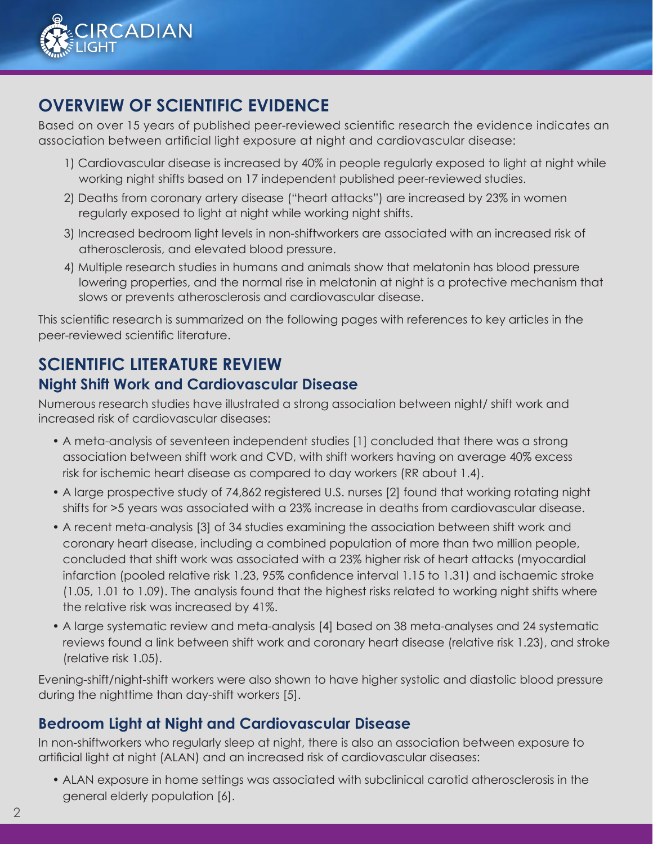

# **OVERVIEW OF SCIENTIFIC EVIDENCE**

Based on over 15 years of published peer-reviewed scientific research the evidence indicates an association between artificial light exposure at night and cardiovascular disease:

- 1) Cardiovascular disease is increased by 40% in people regularly exposed to light at night while working night shifts based on 17 independent published peer-reviewed studies.
- 2) Deaths from coronary artery disease ("heart attacks") are increased by 23% in women regularly exposed to light at night while working night shifts.
- 3) Increased bedroom light levels in non-shiftworkers are associated with an increased risk of atherosclerosis, and elevated blood pressure.
- 4) Multiple research studies in humans and animals show that melatonin has blood pressure lowering properties, and the normal rise in melatonin at night is a protective mechanism that slows or prevents atherosclerosis and cardiovascular disease.

This scientific research is summarized on the following pages with references to key articles in the peer-reviewed scientific literature.

# **SCIENTIFIC LITERATURE REVIEW Night Shift Work and Cardiovascular Disease**

Numerous research studies have illustrated a strong association between night/ shift work and increased risk of cardiovascular diseases:

- A meta-analysis of seventeen independent studies [1] concluded that there was a strong association between shift work and CVD, with shift workers having on average 40% excess risk for ischemic heart disease as compared to day workers (RR about 1.4).
- A large prospective study of 74,862 registered U.S. nurses [2] found that working rotating night shifts for >5 years was associated with a 23% increase in deaths from cardiovascular disease.
- A recent meta-analysis [3] of 34 studies examining the association between shift work and coronary heart disease, including a combined population of more than two million people, concluded that shift work was associated with a 23% higher risk of heart attacks (myocardial infarction (pooled relative risk 1.23, 95% confidence interval 1.15 to 1.31) and ischaemic stroke (1.05, 1.01 to 1.09). The analysis found that the highest risks related to working night shifts where the relative risk was increased by 41%.
- A large systematic review and meta-analysis [4] based on 38 meta-analyses and 24 systematic reviews found a link between shift work and coronary heart disease (relative risk 1.23), and stroke (relative risk 1.05).

Evening-shift/night-shift workers were also shown to have higher systolic and diastolic blood pressure during the nighttime than day-shift workers [5].

#### **Bedroom Light at Night and Cardiovascular Disease**

In non-shiftworkers who regularly sleep at night, there is also an association between exposure to artificial light at night (ALAN) and an increased risk of cardiovascular diseases:

• ALAN exposure in home settings was associated with subclinical carotid atherosclerosis in the general elderly population [6].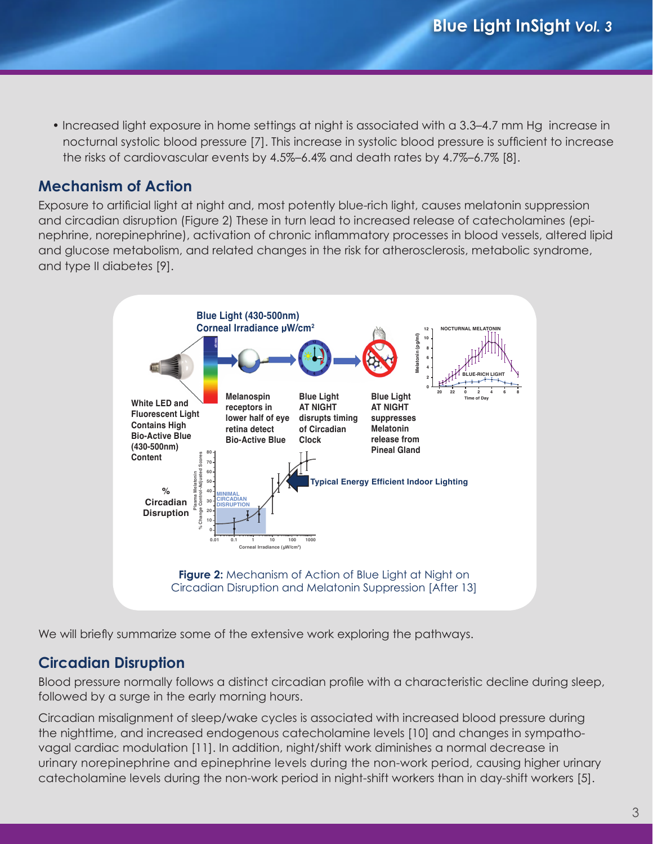• Increased light exposure in home settings at night is associated with a 3.3–4.7 mm Hg increase in nocturnal systolic blood pressure [7]. This increase in systolic blood pressure is sufficient to increase the risks of cardiovascular events by 4.5%–6.4% and death rates by 4.7%–6.7% [8]. **Insulin**<br> **I**<br>
Inc<br>
Inc

# Mechanism of Action

Exposure to artificial light at night and, most potently blue-rich light, causes melatonin suppression and circadian disruption (Figure 2) These in turn lead to increased release of catecholamines (epinephrine, norepinephrine), activation of chronic inflammatory processes in blood vessels, altered lipid and glucose metabolism, and related changes in the risk for atherosclerosis, metabolic syndrome, and type II diabetes [9].



We will briefly summarize some of the extensive work exploring the pathways.

#### **Circadian Disruption**

Blood pressure normally follows a distinct circadian profile with a characteristic decline during sleep, followed by a surge in the early morning hours.

Circadian misalignment of sleep/wake cycles is associated with increased blood pressure during the nighttime, and increased endogenous catecholamine levels [10] and changes in sympathovagal cardiac modulation [11]. In addition, night/shift work diminishes a normal decrease in urinary norepinephrine and epinephrine levels during the non-work period, causing higher urinary catecholamine levels during the non-work period in night-shift workers than in day-shift workers [5].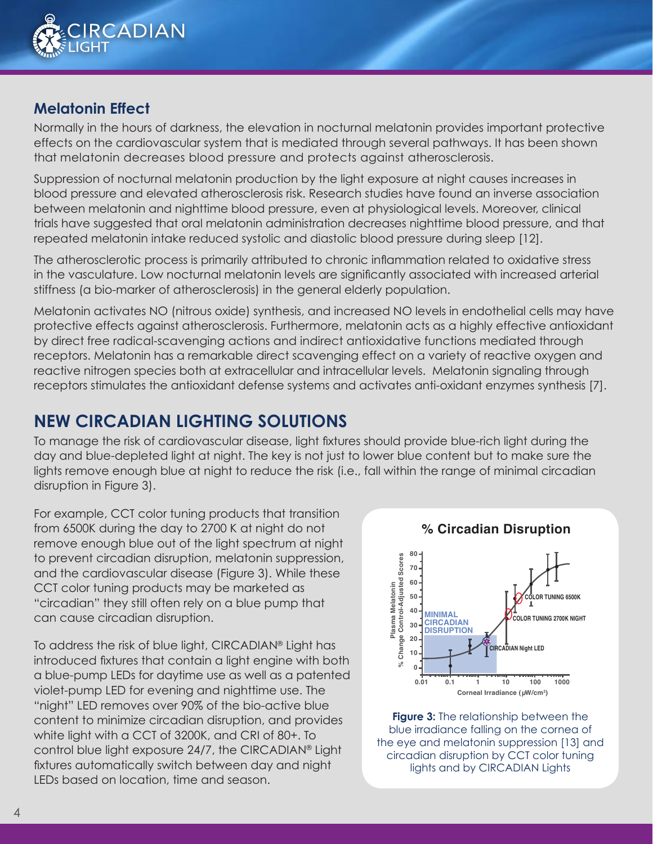

#### **Melatonin Effect**

Normally in the hours of darkness, the elevation in nocturnal melatonin provides important protective effects on the cardiovascular system that is mediated through several pathways. It has been shown that melatonin decreases blood pressure and protects against atherosclerosis.

Suppression of nocturnal melatonin production by the light exposure at night causes increases in blood pressure and elevated atherosclerosis risk. Research studies have found an inverse association between melatonin and nighttime blood pressure, even at physiological levels. Moreover, clinical trials have suggested that oral melatonin administration decreases nighttime blood pressure, and that repeated melatonin intake reduced systolic and diastolic blood pressure during sleep [12].

The atherosclerotic process is primarily attributed to chronic inflammation related to oxidative stress in the vasculature. Low nocturnal melatonin levels are significantly associated with increased arterial stiffness (a bio-marker of atherosclerosis) in the general elderly population.

Melatonin activates NO (nitrous oxide) synthesis, and increased NO levels in endothelial cells may have protective effects against atherosclerosis. Furthermore, melatonin acts as a highly effective antioxidant by direct free radical-scavenging actions and indirect antioxidative functions mediated through receptors. Melatonin has a remarkable direct scavenging effect on a variety of reactive oxygen and reactive nitrogen species both at extracellular and intracellular levels. Melatonin signaling through receptors stimulates the antioxidant defense systems and activates anti-oxidant enzymes synthesis [7].

### **NEW CIRCADIAN LIGHTING SOLUTIONS**

To manage the risk of cardiovascular disease, light fixtures should provide blue-rich light during the day and blue-depleted light at night. The key is not just to lower blue content but to make sure the lights remove enough blue at night to reduce the risk (i.e., fall within the range of minimal circadian disruption in Figure 3).

For example, CCT color tuning products that transition from 6500K during the day to 2700 K at night do not remove enough blue out of the light spectrum at night to prevent circadian disruption, melatonin suppression, and the cardiovascular disease (Figure 3). While these CCT color tuning products may be marketed as "circadian" they still often rely on a blue pump that can cause circadian disruption.

To address the risk of blue light, CIRCADIAN® Light has introduced fixtures that contain a light engine with both a blue-pump LEDs for daytime use as well as a patented violet-pump LED for evening and nighttime use. The "night" LED removes over 90% of the bio-active blue content to minimize circadian disruption, and provides white light with a CCT of 3200K, and CRI of 80+. To control blue light exposure 24/7, the CIRCADIAN® Light fixtures automatically switch between day and night LEDs based on location, time and season.

**80**

**% Circadian Disruption**



**Figure 3:** The relationship between the blue irradiance falling on the cornea of the eye and melatonin suppression [13] and circadian disruption by CCT color tuning lights and by CIRCADIAN Lights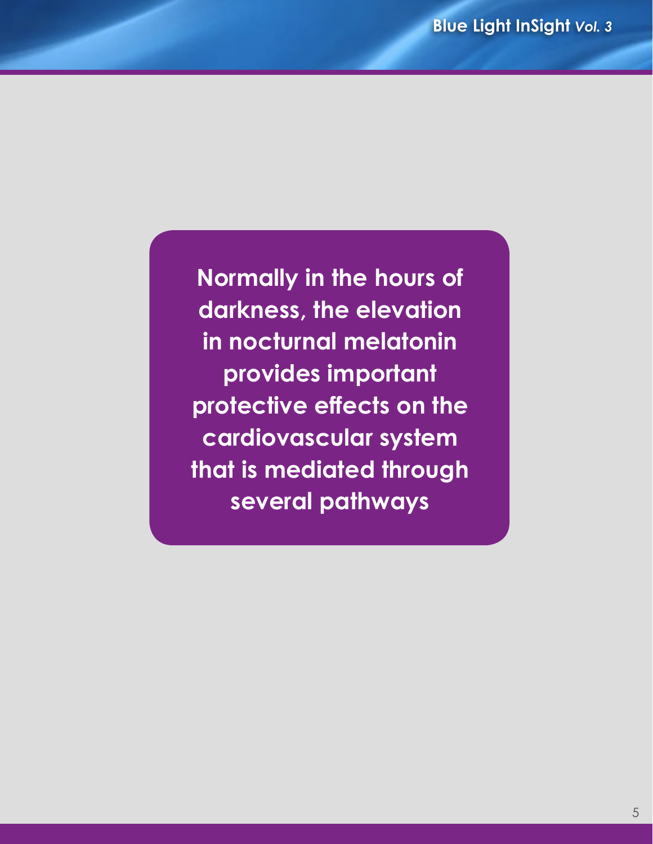**Normally in the hours of darkness, the elevation in nocturnal melatonin provides important protective effects on the cardiovascular system that is mediated through several pathways**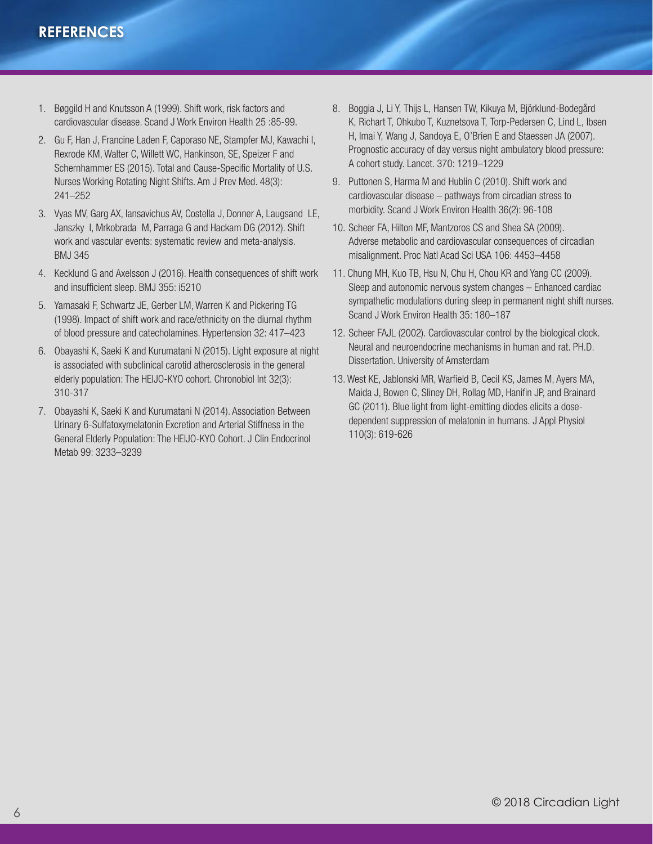#### **REFERENCES**

- 1. Bøggild H and Knutsson A (1999). Shift work, risk factors and cardiovascular disease. Scand J Work Environ Health 25 :85-99.
- 2. Gu F, Han J, Francine Laden F, Caporaso NE, Stampfer MJ, Kawachi I, Rexrode KM, Walter C, Willett WC, Hankinson, SE, Speizer F and Schernhammer ES (2015). Total and Cause-Specific Mortality of U.S. Nurses Working Rotating Night Shifts. Am J Prev Med. 48(3): 241–252
- 3. Vyas MV, Garg AX, Iansavichus AV, Costella J, Donner A, Laugsand LE, Janszky I, Mrkobrada M, Parraga G and Hackam DG (2012). Shift work and vascular events: systematic review and meta-analysis. BMJ 345
- 4. Kecklund G and Axelsson J (2016). Health consequences of shift work and insufficient sleep. BMJ 355: i5210
- 5. Yamasaki F, Schwartz JE, Gerber LM, Warren K and Pickering TG (1998). Impact of shift work and race/ethnicity on the diurnal rhythm of blood pressure and catecholamines. Hypertension 32: 417–423
- 6. Obayashi K, Saeki K and Kurumatani N (2015). Light exposure at night is associated with subclinical carotid atherosclerosis in the general elderly population: The HEIJO-KYO cohort. Chronobiol Int 32(3): 310-317
- 7. Obayashi K, Saeki K and Kurumatani N (2014). Association Between Urinary 6-Sulfatoxymelatonin Excretion and Arterial Stiffness in the General Elderly Population: The HEIJO-KYO Cohort. J Clin Endocrinol Metab 99: 3233–3239
- 8. Boggia J, Li Y, Thijs L, Hansen TW, Kikuya M, Björklund-Bodegård K, Richart T, Ohkubo T, Kuznetsova T, Torp-Pedersen C, Lind L, Ibsen H, Imai Y, Wang J, Sandoya E, O'Brien E and Staessen JA (2007). Prognostic accuracy of day versus night ambulatory blood pressure: A cohort study. Lancet. 370: 1219–1229
- 9. Puttonen S, Harma M and Hublin C (2010). Shift work and cardiovascular disease – pathways from circadian stress to morbidity. Scand J Work Environ Health 36(2): 96-108
- 10. Scheer FA, Hilton MF, Mantzoros CS and Shea SA (2009). Adverse metabolic and cardiovascular consequences of circadian misalignment. Proc Natl Acad Sci USA 106: 4453–4458
- 11. Chung MH, Kuo TB, Hsu N, Chu H, Chou KR and Yang CC (2009). Sleep and autonomic nervous system changes – Enhanced cardiac sympathetic modulations during sleep in permanent night shift nurses. Scand J Work Environ Health 35: 180–187
- 12. Scheer FAJL (2002). Cardiovascular control by the biological clock. Neural and neuroendocrine mechanisms in human and rat. PH.D. Dissertation. University of Amsterdam
- 13. West KE, Jablonski MR, Warfield B, Cecil KS, James M, Ayers MA, Maida J, Bowen C, Sliney DH, Rollag MD, Hanifin JP, and Brainard GC (2011). Blue light from light-emitting diodes elicits a dosedependent suppression of melatonin in humans. J Appl Physiol 110(3): 619-626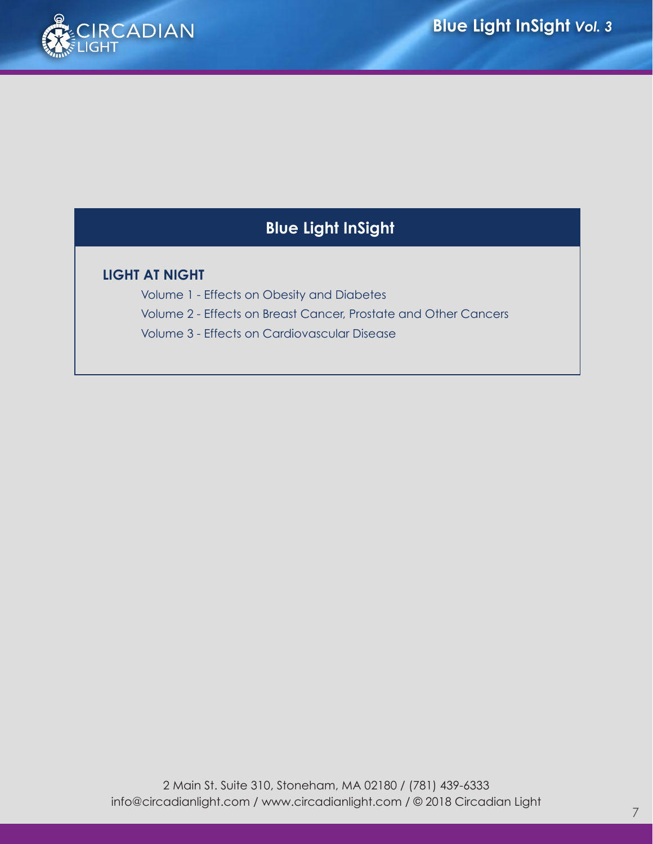

# **Blue Light InSight**

#### **LIGHT AT NIGHT**

Volume 1 - Effects on Obesity and Diabetes Volume 2 - Effects on Breast Cancer, Prostate and Other Cancers Volume 3 - Effects on Cardiovascular Disease